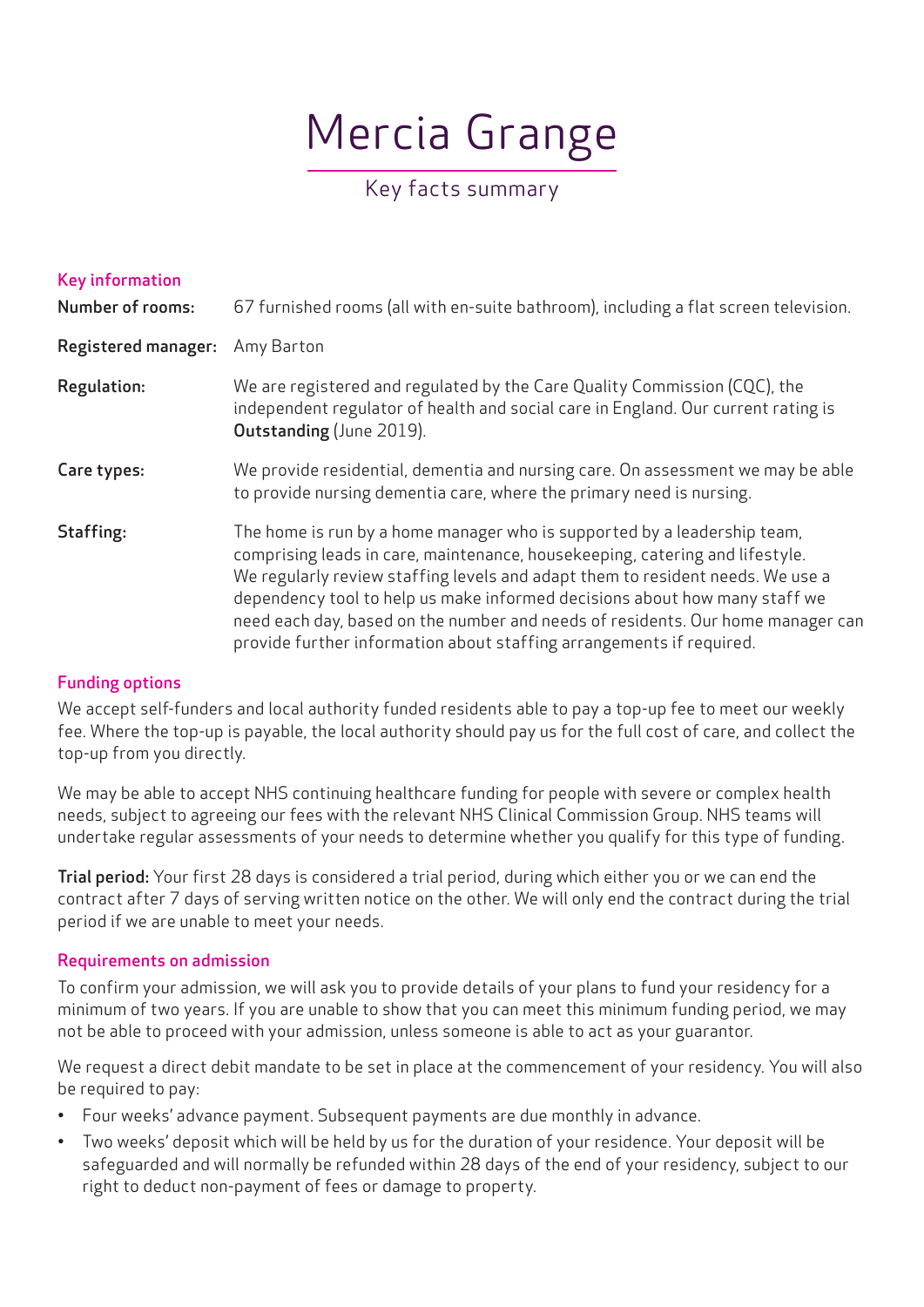# Mercia Grange

# Key facts summary

| <b>Key information</b><br><b>Number of rooms:</b> | 67 furnished rooms (all with en-suite bathroom), including a flat screen television.                                                                                                                                                                                                                                                                                                                                                                                                |
|---------------------------------------------------|-------------------------------------------------------------------------------------------------------------------------------------------------------------------------------------------------------------------------------------------------------------------------------------------------------------------------------------------------------------------------------------------------------------------------------------------------------------------------------------|
| <b>Registered manager:</b>                        | Amy Barton                                                                                                                                                                                                                                                                                                                                                                                                                                                                          |
| Regulation:                                       | We are registered and regulated by the Care Quality Commission (CQC), the<br>independent regulator of health and social care in England. Our current rating is<br>Outstanding (June 2019).                                                                                                                                                                                                                                                                                          |
| Care types:                                       | We provide residential, dementia and nursing care. On assessment we may be able<br>to provide nursing dementia care, where the primary need is nursing.                                                                                                                                                                                                                                                                                                                             |
| Staffing:                                         | The home is run by a home manager who is supported by a leadership team,<br>comprising leads in care, maintenance, housekeeping, catering and lifestyle.<br>We regularly review staffing levels and adapt them to resident needs. We use a<br>dependency tool to help us make informed decisions about how many staff we<br>need each day, based on the number and needs of residents. Our home manager can<br>provide further information about staffing arrangements if required. |

## Funding options

We accept self-funders and local authority funded residents able to pay a top-up fee to meet our weekly fee. Where the top-up is payable, the local authority should pay us for the full cost of care, and collect the top-up from you directly.

We may be able to accept NHS continuing healthcare funding for people with severe or complex health needs, subject to agreeing our fees with the relevant NHS Clinical Commission Group. NHS teams will undertake regular assessments of your needs to determine whether you qualify for this type of funding.

Trial period: Your first 28 days is considered a trial period, during which either you or we can end the contract after 7 days of serving written notice on the other. We will only end the contract during the trial period if we are unable to meet your needs.

## Requirements on admission

To confirm your admission, we will ask you to provide details of your plans to fund your residency for a minimum of two years. If you are unable to show that you can meet this minimum funding period, we may not be able to proceed with your admission, unless someone is able to act as your guarantor.

We request a direct debit mandate to be set in place at the commencement of your residency. You will also be required to pay:

- Four weeks' advance payment. Subsequent payments are due monthly in advance.
- Two weeks' deposit which will be held by us for the duration of your residence. Your deposit will be safeguarded and will normally be refunded within 28 days of the end of your residency, subject to our right to deduct non-payment of fees or damage to property.